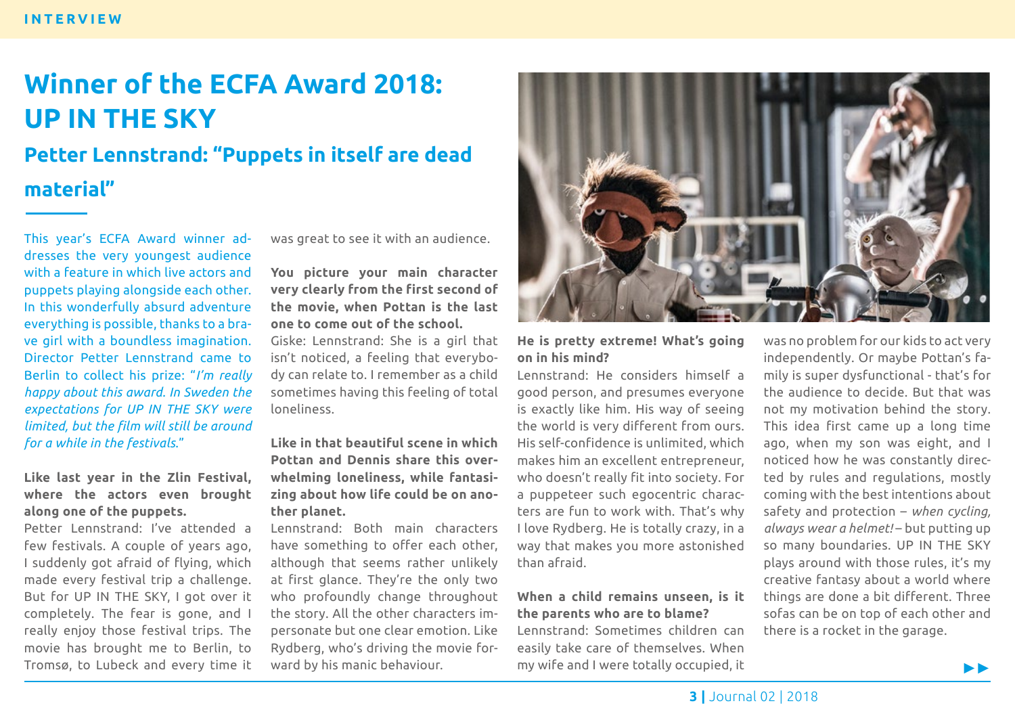# **Winner of the ECFA Award 2018: UP IN THE SKY Petter Lennstrand: "Puppets in itself are dead**

## **material"**

This year's ECFA Award winner addresses the very youngest audience with a feature in which live actors and puppets playing alongside each other. In this wonderfully absurd adventure everything is possible, thanks to a brave girl with a boundless imagination. Director Petter Lennstrand came to Berlin to collect his prize: "*I'm really happy about this award. In Sweden the expectations for UP IN THE SKY were limited, but the film will still be around for a while in the festivals*."

### **Like last year in the Zlin Festival, where the actors even brought along one of the puppets.**

Petter Lennstrand: I've attended a few festivals. A couple of years ago, I suddenly got afraid of flying, which made every festival trip a challenge. But for UP IN THE SKY, I got over it completely. The fear is gone, and I really enjoy those festival trips. The movie has brought me to Berlin, to Tromsø, to Lubeck and every time it was great to see it with an audience.

### **You picture your main character very clearly from the first second of the movie, when Pottan is the last one to come out of the school.**

Giske: Lennstrand: She is a girl that isn't noticed, a feeling that everybody can relate to. I remember as a child sometimes having this feeling of total loneliness.

#### **Like in that beautiful scene in which Pottan and Dennis share this overwhelming loneliness, while fantasizing about how life could be on another planet.**

Lennstrand: Both main characters have something to offer each other, although that seems rather unlikely at first glance. They're the only two who profoundly change throughout the story. All the other characters impersonate but one clear emotion. Like Rydberg, who's driving the movie forward by his manic behaviour.



### **He is pretty extreme! What's going on in his mind?**

Lennstrand: He considers himself a good person, and presumes everyone is exactly like him. His way of seeing the world is very different from ours. His self-confidence is unlimited, which makes him an excellent entrepreneur, who doesn't really fit into society. For a puppeteer such egocentric characters are fun to work with. That's why I love Rydberg. He is totally crazy, in a way that makes you more astonished than afraid.

### **When a child remains unseen, is it the parents who are to blame?**

Lennstrand: Sometimes children can easily take care of themselves. When my wife and I were totally occupied, it

was no problem for our kids to act very independently. Or maybe Pottan's family is super dysfunctional - that's for the audience to decide. But that was not my motivation behind the story. This idea first came up a long time ago, when my son was eight, and I noticed how he was constantly directed by rules and regulations, mostly coming with the best intentions about safety and protection – *when cycling, always wear a helmet!* – but putting up so many boundaries. UP IN THE SKY plays around with those rules, it's my creative fantasy about a world where things are done a bit different. Three sofas can be on top of each other and there is a rocket in the garage.